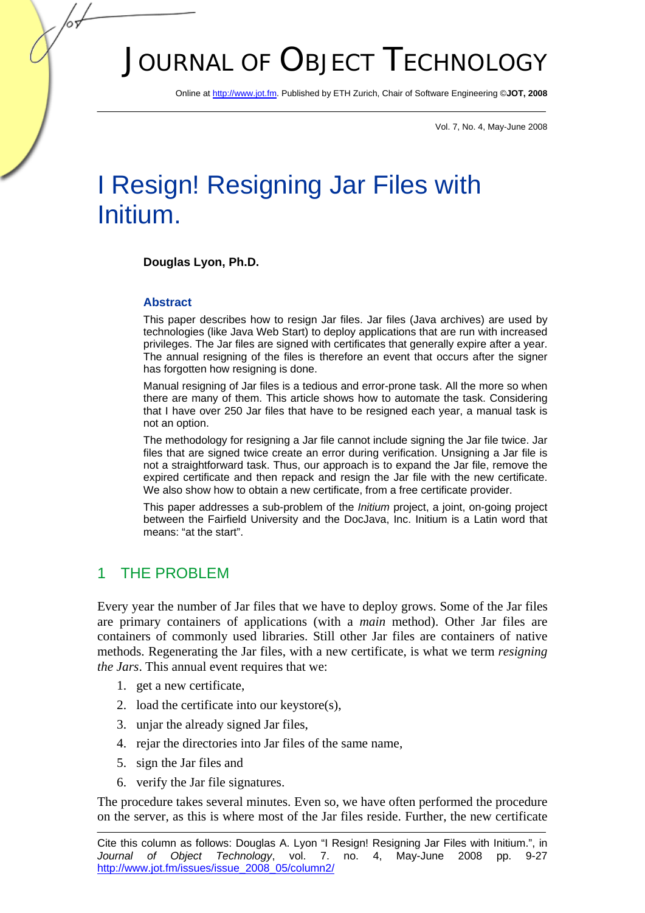# JOURNAL OF OBJECT TECHNOLOGY

Online at http://www.jot.fm. Published by ETH Zurich, Chair of Software Engineering ©**JOT, 2008** 

Vol. 7, No. 4, May-June 2008

# I Resign! Resigning Jar Files with Initium.

## **Douglas Lyon, Ph.D.**

## **Abstract**

This paper describes how to resign Jar files. Jar files (Java archives) are used by technologies (like Java Web Start) to deploy applications that are run with increased privileges. The Jar files are signed with certificates that generally expire after a year. The annual resigning of the files is therefore an event that occurs after the signer has forgotten how resigning is done.

Manual resigning of Jar files is a tedious and error-prone task. All the more so when there are many of them. This article shows how to automate the task. Considering that I have over 250 Jar files that have to be resigned each year, a manual task is not an option.

The methodology for resigning a Jar file cannot include signing the Jar file twice. Jar files that are signed twice create an error during verification. Unsigning a Jar file is not a straightforward task. Thus, our approach is to expand the Jar file, remove the expired certificate and then repack and resign the Jar file with the new certificate. We also show how to obtain a new certificate, from a free certificate provider.

This paper addresses a sub-problem of the *Initium* project, a joint, on-going project between the Fairfield University and the DocJava, Inc. Initium is a Latin word that means: "at the start".

## 1 THE PROBLEM

Every year the number of Jar files that we have to deploy grows. Some of the Jar files are primary containers of applications (with a *main* method). Other Jar files are containers of commonly used libraries. Still other Jar files are containers of native methods. Regenerating the Jar files, with a new certificate, is what we term *resigning the Jars*. This annual event requires that we:

- 1. get a new certificate,
- 2. load the certificate into our keystore(s),
- 3. unjar the already signed Jar files,
- 4. rejar the directories into Jar files of the same name,
- 5. sign the Jar files and
- 6. verify the Jar file signatures.

The procedure takes several minutes. Even so, we have often performed the procedure on the server, as this is where most of the Jar files reside. Further, the new certificate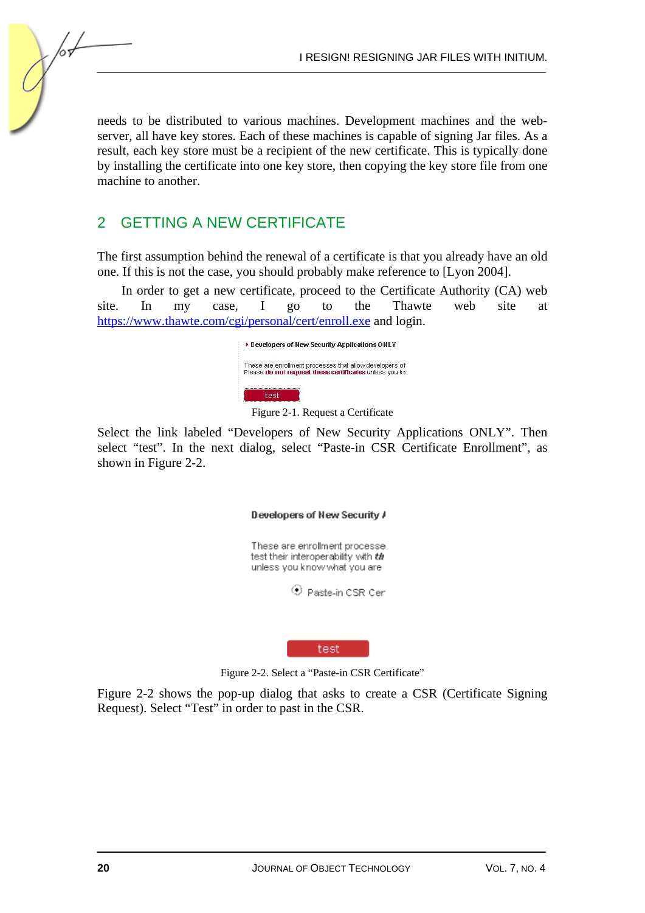needs to be distributed to various machines. Development machines and the webserver, all have key stores. Each of these machines is capable of signing Jar files. As a result, each key store must be a recipient of the new certificate. This is typically done by installing the certificate into one key store, then copying the key store file from one machine to another.

## 2 GETTING A NEW CERTIFICATE

The first assumption behind the renewal of a certificate is that you already have an old one. If this is not the case, you should probably make reference to [Lyon 2004].

In order to get a new certificate, proceed to the Certificate Authority (CA) web site. In my case, I go to the Thawte web site at https://www.thawte.com/cgi/personal/cert/enroll.exe and login.



Figure 2-1. Request a Certificate

Select the link labeled "Developers of New Security Applications ONLY". Then select "test". In the next dialog, select "Paste-in CSR Certificate Enrollment", as shown in Figure 2-2.

## Developers of New Security A

These are enrollment processe test their interoperability with the unless you know what you are

C Paste-in CSR Cer

test

Figure 2-2. Select a "Paste-in CSR Certificate"

Figure 2-2 shows the pop-up dialog that asks to create a CSR (Certificate Signing Request). Select "Test" in order to past in the CSR.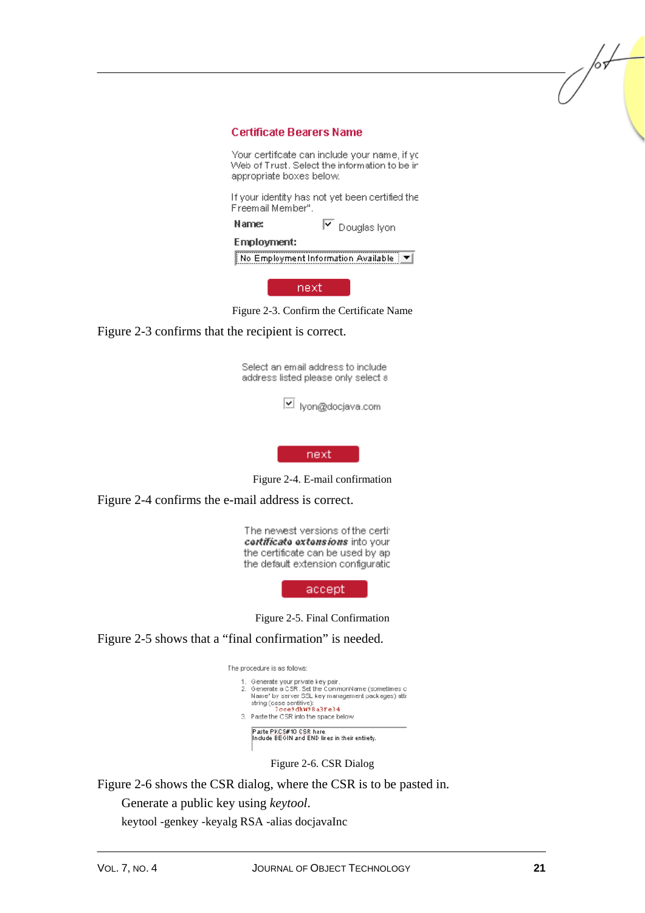#### **Certificate Bearers Name**

Your certificate can include your name, if yo Web of Trust. Select the information to be in appropriate boxes below.

If your identity has not yet been certified the Freemail Member".

**Name:**  $\boxed{\mathbf{v}}$  Douglas lyon

#### **Employment:**

No Employment Information Available | v|

next

Figure 2-3. Confirm the Certificate Name

## Figure 2-3 confirms that the recipient is correct.

Select an email address to include address listed please only select a

V lyon@docjava.com

next

Figure 2-4. E-mail confirmation

Figure 2-4 confirms the e-mail address is correct.

The newest versions of the certi: cortificato oxtonsions into your the certificate can be used by ap the default extension configuratic

accept

Figure 2-5. Final Confirmation

Figure 2-5 shows that a "final confirmation" is needed.

The procedure is as follows:



Figure 2-6. CSR Dialog

Figure 2-6 shows the CSR dialog, where the CSR is to be pasted in.

Generate a public key using *keytool*.

keytool -genkey -keyalg RSA -alias docjavaInc

/or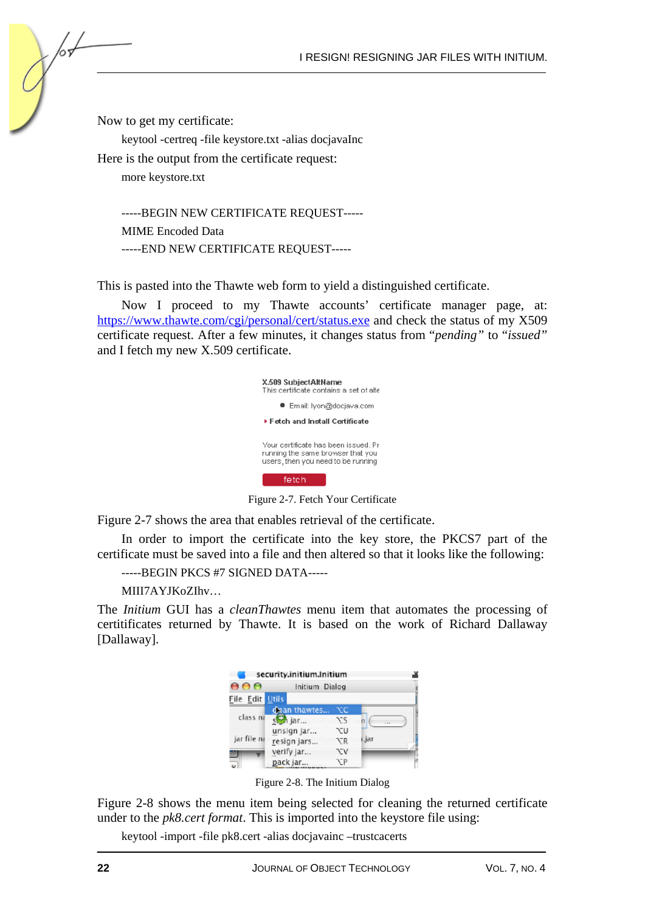Now to get my certificate:

keytool -certreq -file keystore.txt -alias docjavaInc

Here is the output from the certificate request:

more keystore.txt

-----BEGIN NEW CERTIFICATE REQUEST----- MIME Encoded Data -----END NEW CERTIFICATE REQUEST-----

This is pasted into the Thawte web form to yield a distinguished certificate.

Now I proceed to my Thawte accounts' certificate manager page, at: https://www.thawte.com/cgi/personal/cert/status.exe and check the status of my X509 certificate request. After a few minutes, it changes status from "*pending"* to "*issued"* and I fetch my new X.509 certificate.

| X.509 SubjectAltName<br>This certificate contains a set of alte                                                 |
|-----------------------------------------------------------------------------------------------------------------|
| ● Email: Ivon@docjava.com                                                                                       |
| $\blacktriangleright$ Fetch and Install Certificate                                                             |
| Your certificate has been issued. Pr<br>running the same browser that you<br>users, then you need to be running |
| fetch                                                                                                           |

Figure 2-7. Fetch Your Certificate

Figure 2-7 shows the area that enables retrieval of the certificate.

In order to import the certificate into the key store, the PKCS7 part of the certificate must be saved into a file and then altered so that it looks like the following:

-----BEGIN PKCS #7 SIGNED DATA-----

MIII7AYJKoZIhv…

The *Initium* GUI has a *cleanThawtes* menu item that automates the processing of certitificates returned by Thawte. It is based on the work of Richard Dallaway [Dallaway].

| security.initium.Initium |                |           |       |  |
|--------------------------|----------------|-----------|-------|--|
| 000                      | Initium Dialog |           |       |  |
| File Edit Utils          |                |           |       |  |
|                          | dean thawtes   | ХC        |       |  |
| class na                 | $s$ jar        | NS.       |       |  |
|                          | unsign jar     | N⊤v       |       |  |
| jar file na              | resign jars    | NR        | ı.jar |  |
|                          | verify jar     | ٦JV       |       |  |
|                          | pack jar       | <b>TP</b> |       |  |

Figure 2-8. The Initium Dialog

Figure 2-8 shows the menu item being selected for cleaning the returned certificate under to the *pk8.cert format*. This is imported into the keystore file using:

keytool -import -file pk8.cert -alias docjavainc –trustcacerts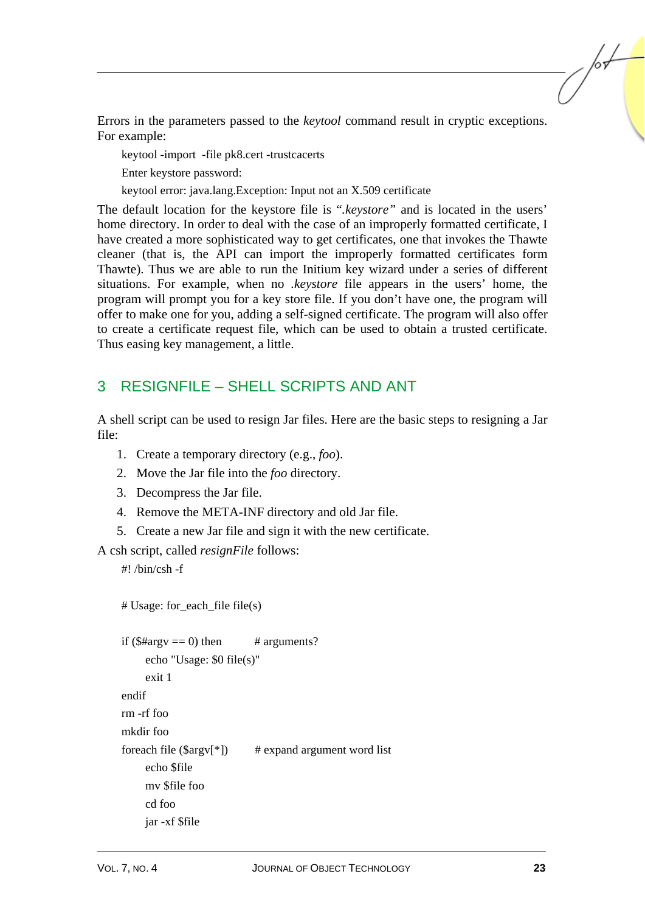Errors in the parameters passed to the *keytool* command result in cryptic exceptions. For example:

keytool -import -file pk8.cert -trustcacerts

Enter keystore password:

keytool error: java.lang.Exception: Input not an X.509 certificate

The default location for the keystore file is "*.keystore"* and is located in the users' home directory. In order to deal with the case of an improperly formatted certificate, I have created a more sophisticated way to get certificates, one that invokes the Thawte cleaner (that is, the API can import the improperly formatted certificates form Thawte). Thus we are able to run the Initium key wizard under a series of different situations. For example, when no *.keystore* file appears in the users' home, the program will prompt you for a key store file. If you don't have one, the program will offer to make one for you, adding a self-signed certificate. The program will also offer to create a certificate request file, which can be used to obtain a trusted certificate. Thus easing key management, a little.

# 3 RESIGNFILE – SHELL SCRIPTS AND ANT

A shell script can be used to resign Jar files. Here are the basic steps to resigning a Jar file:

- 1. Create a temporary directory (e.g., *foo*).
- 2. Move the Jar file into the *foo* directory.
- 3. Decompress the Jar file.
- 4. Remove the META-INF directory and old Jar file.
- 5. Create a new Jar file and sign it with the new certificate.

A csh script, called *resignFile* follows:

#! /bin/csh -f

# Usage: for\_each\_file file(s)

```
if (\text{5\#argv} = 0) then \# arguments?
       echo "Usage: $0 file(s)" 
      exit 1 
endif 
rm -rf foo 
mkdir foo 
foreach file (\frac{3}{2} \times \frac{1}{2}) # expand argument word list
       echo $file 
       mv $file foo 
       cd foo 
      jar -xf $file
```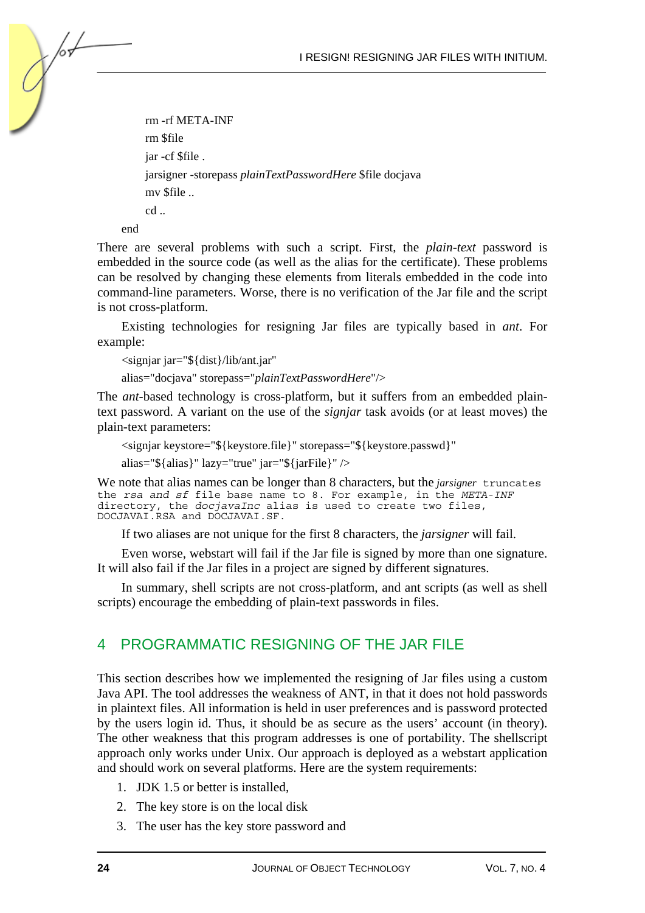rm -rf META-INF rm \$file jar -cf \$file . jarsigner -storepass *plainTextPasswordHere* \$file docjava mv \$file .. cd ..

end

/or

There are several problems with such a script. First, the *plain*-*text* password is embedded in the source code (as well as the alias for the certificate). These problems can be resolved by changing these elements from literals embedded in the code into command-line parameters. Worse, there is no verification of the Jar file and the script is not cross-platform.

Existing technologies for resigning Jar files are typically based in *ant*. For example:

<signjar jar="\${dist}/lib/ant.jar"

alias="docjava" storepass="*plainTextPasswordHere*"/>

The *ant*-based technology is cross-platform, but it suffers from an embedded plaintext password. A variant on the use of the *signjar* task avoids (or at least moves) the plain-text parameters:

```
<signjar keystore="${keystore.file}" storepass="${keystore.passwd}"
```
alias="\${alias}" lazy="true" jar="\${jarFile}" />

We note that alias names can be longer than 8 characters, but the *jarsigner* truncates the *rsa and sf* file base name to 8. For example, in the *META-INF* directory, the *docjavaInc* alias is used to create two files, DOCJAVAI.RSA and DOCJAVAI.SF.

If two aliases are not unique for the first 8 characters, the *jarsigner* will fail.

Even worse, webstart will fail if the Jar file is signed by more than one signature. It will also fail if the Jar files in a project are signed by different signatures.

In summary, shell scripts are not cross-platform, and ant scripts (as well as shell scripts) encourage the embedding of plain-text passwords in files.

## 4 PROGRAMMATIC RESIGNING OF THE JAR FILE

This section describes how we implemented the resigning of Jar files using a custom Java API. The tool addresses the weakness of ANT, in that it does not hold passwords in plaintext files. All information is held in user preferences and is password protected by the users login id. Thus, it should be as secure as the users' account (in theory). The other weakness that this program addresses is one of portability. The shellscript approach only works under Unix. Our approach is deployed as a webstart application and should work on several platforms. Here are the system requirements:

- 1. JDK 1.5 or better is installed,
- 2. The key store is on the local disk
- 3. The user has the key store password and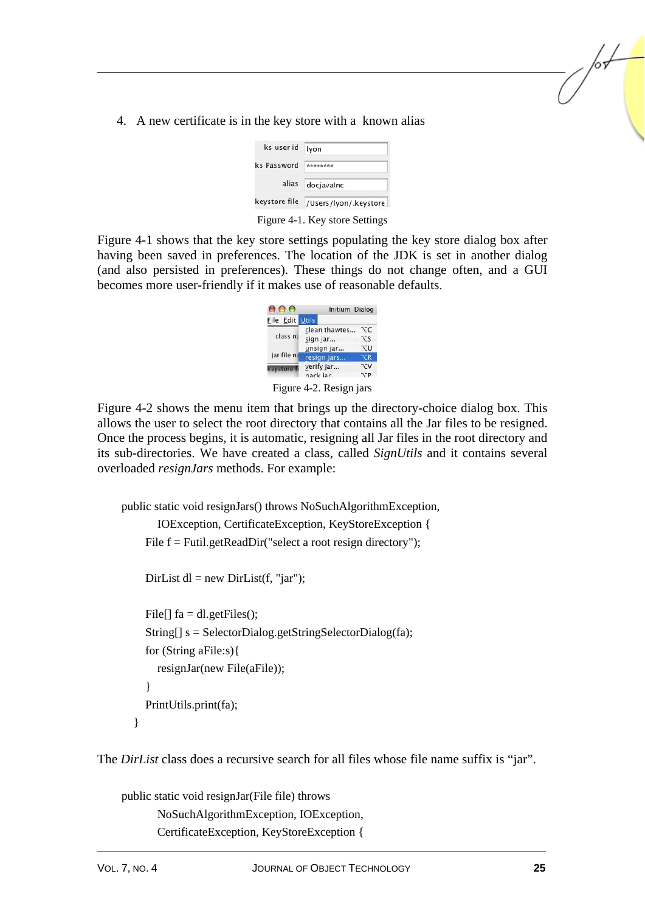4. A new certificate is in the key store with a known alias

| ks user id    | lyon                  |  |  |
|---------------|-----------------------|--|--|
| ks Password   | ********              |  |  |
| alias         | docjavalnc            |  |  |
| keystore file | /Users/lyon/.keystore |  |  |
|               |                       |  |  |

Figure 4-1. Key store Settings

Figure 4-1 shows that the key store settings populating the key store dialog box after having been saved in preferences. The location of the JDK is set in another dialog (and also persisted in preferences). These things do not change often, and a GUI becomes more user-friendly if it makes use of reasonable defaults.



Figure 4-2 shows the menu item that brings up the directory-choice dialog box. This allows the user to select the root directory that contains all the Jar files to be resigned. Once the process begins, it is automatic, resigning all Jar files in the root directory and its sub-directories. We have created a class, called *SignUtils* and it contains several overloaded *resignJars* methods. For example:

```
public static void resignJars() throws NoSuchAlgorithmException, 
         IOException, CertificateException, KeyStoreException { 
     File f = Futil.getReadDir("select a root resign directory");
     DirList dl = new DirList(f, "jar");
     File[] fa = dl.getFiles();
     String[] s = SelectorDialog.getStringSelectorDialog(fa);
      for (String aFile:s){ 
         resignJar(new File(aFile)); 
      } 
      PrintUtils.print(fa);
```
}

The *DirList* class does a recursive search for all files whose file name suffix is "jar".

public static void resignJar(File file) throws NoSuchAlgorithmException, IOException, CertificateException, KeyStoreException { /or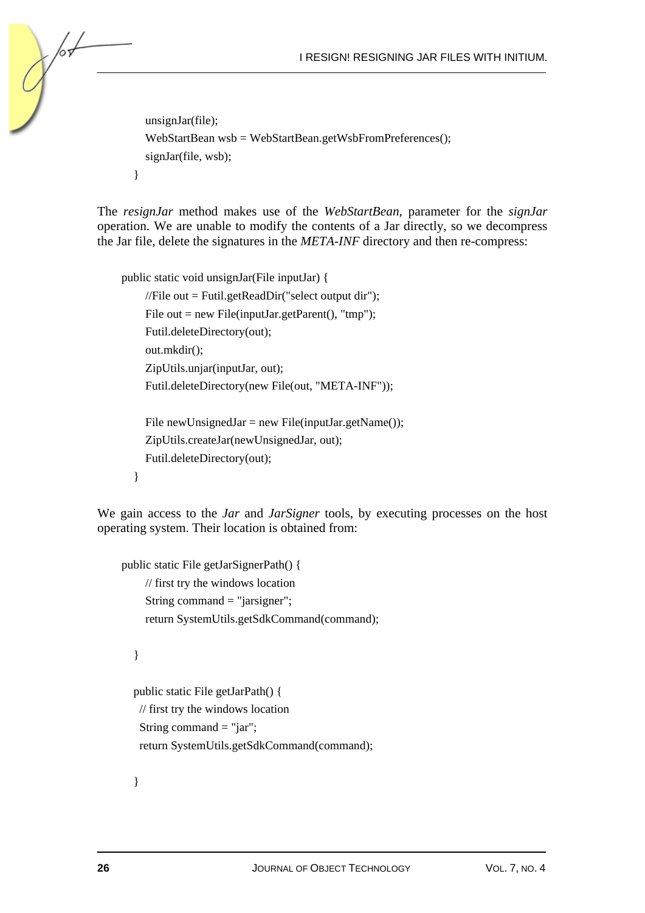```
 unsignJar(file); 
   WebStartBean wsb = WebStartBean.getWsbFromPreferences(); 
  signJar(file, wsb);
 }
```
The *resignJar* method makes use of the *WebStartBean*, parameter for the *signJar* operation. We are unable to modify the contents of a Jar directly, so we decompress the Jar file, delete the signatures in the *META-INF* directory and then re-compress:

```
public static void unsignJar(File inputJar) { 
     //File out = Futil.getReadDir("select output dir");File out = new File(inputJar.getParent(), "tmp");
      Futil.deleteDirectory(out); 
      out.mkdir(); 
      ZipUtils.unjar(inputJar, out); 
      Futil.deleteDirectory(new File(out, "META-INF")); 
     File new Unsigned Jar = new File(input Jar.getName());
      ZipUtils.createJar(newUnsignedJar, out); 
      Futil.deleteDirectory(out); 
   }
```
We gain access to the *Jar* and *JarSigner* tools, by executing processes on the host operating system. Their location is obtained from:

```
public static File getJarSignerPath() { 
     // first try the windows location 
      String command = "jarsigner"; 
      return SystemUtils.getSdkCommand(command);
```
}

/оъ

```
 public static File getJarPath() { 
 // first try the windows location 
 String command = "jar";
  return SystemUtils.getSdkCommand(command);
```
}